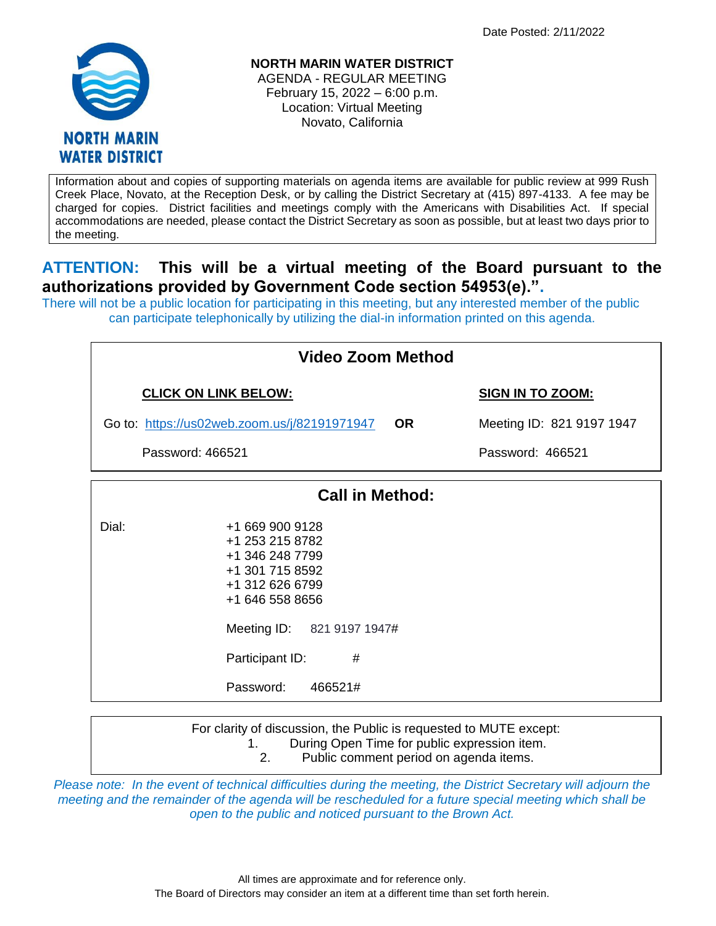

**NORTH MARIN WATER DISTRICT** AGENDA - REGULAR MEETING

February 15, 2022 – 6:00 p.m. Location: Virtual Meeting Novato, California

Information about and copies of supporting materials on agenda items are available for public review at 999 Rush Creek Place, Novato, at the Reception Desk, or by calling the District Secretary at (415) 897-4133. A fee may be charged for copies. District facilities and meetings comply with the Americans with Disabilities Act. If special accommodations are needed, please contact the District Secretary as soon as possible, but at least two days prior to the meeting.

## **ATTENTION: This will be a virtual meeting of the Board pursuant to the authorizations provided by Government Code section 54953(e).".**

There will not be a public location for participating in this meeting, but any interested member of the public can participate telephonically by utilizing the dial-in information printed on this agenda.

| Video Zoom Method                            |                                                                                                                                                                                              |           |                           |  |  |
|----------------------------------------------|----------------------------------------------------------------------------------------------------------------------------------------------------------------------------------------------|-----------|---------------------------|--|--|
| <b>CLICK ON LINK BELOW:</b>                  |                                                                                                                                                                                              |           | <b>SIGN IN TO ZOOM:</b>   |  |  |
| Go to: https://us02web.zoom.us/j/82191971947 |                                                                                                                                                                                              | <b>OR</b> | Meeting ID: 821 9197 1947 |  |  |
| Password: 466521                             |                                                                                                                                                                                              |           | Password: 466521          |  |  |
|                                              | <b>Call in Method:</b>                                                                                                                                                                       |           |                           |  |  |
| Dial:                                        | +1 669 900 9128<br>+1 253 215 8782<br>+1 346 248 7799<br>+1 301 715 8592<br>+1 312 626 6799<br>+1 646 558 8656<br>Meeting ID: 821 9197 1947#<br>Participant ID:<br>#<br>Password:<br>466521# |           |                           |  |  |
|                                              | For clarity of discussion, the Public is requested to MUTE except:                                                                                                                           |           |                           |  |  |

*Please note: In the event of technical difficulties during the meeting, the District Secretary will adjourn the meeting and the remainder of the agenda will be rescheduled for a future special meeting which shall be open to the public and noticed pursuant to the Brown Act.*

1. During Open Time for public expression item. 2. Public comment period on agenda items.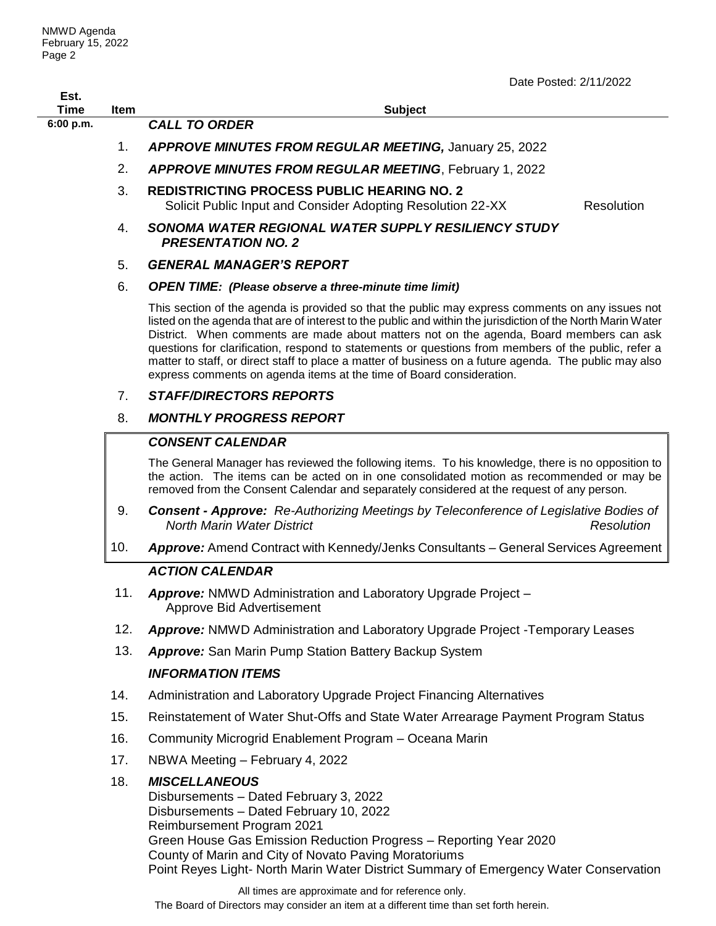|                     |      | Date Posted: 2/11/2022                                                                                                                                                                                                                                                                                                                                                                                                                                                                                                                                                                               |
|---------------------|------|------------------------------------------------------------------------------------------------------------------------------------------------------------------------------------------------------------------------------------------------------------------------------------------------------------------------------------------------------------------------------------------------------------------------------------------------------------------------------------------------------------------------------------------------------------------------------------------------------|
| Est.<br><b>Time</b> | Item | <b>Subject</b>                                                                                                                                                                                                                                                                                                                                                                                                                                                                                                                                                                                       |
| 6:00 p.m.           |      | <b>CALL TO ORDER</b>                                                                                                                                                                                                                                                                                                                                                                                                                                                                                                                                                                                 |
|                     | 1.   | APPROVE MINUTES FROM REGULAR MEETING, January 25, 2022                                                                                                                                                                                                                                                                                                                                                                                                                                                                                                                                               |
|                     | 2.   | <b>APPROVE MINUTES FROM REGULAR MEETING, February 1, 2022</b>                                                                                                                                                                                                                                                                                                                                                                                                                                                                                                                                        |
|                     | 3.   | <b>REDISTRICTING PROCESS PUBLIC HEARING NO. 2</b><br>Resolution<br>Solicit Public Input and Consider Adopting Resolution 22-XX                                                                                                                                                                                                                                                                                                                                                                                                                                                                       |
|                     | 4.   | SONOMA WATER REGIONAL WATER SUPPLY RESILIENCY STUDY<br><b>PRESENTATION NO. 2</b>                                                                                                                                                                                                                                                                                                                                                                                                                                                                                                                     |
|                     | 5.   | <b>GENERAL MANAGER'S REPORT</b>                                                                                                                                                                                                                                                                                                                                                                                                                                                                                                                                                                      |
|                     | 6.   | <b>OPEN TIME:</b> (Please observe a three-minute time limit)                                                                                                                                                                                                                                                                                                                                                                                                                                                                                                                                         |
|                     |      | This section of the agenda is provided so that the public may express comments on any issues not<br>listed on the agenda that are of interest to the public and within the jurisdiction of the North Marin Water<br>District. When comments are made about matters not on the agenda, Board members can ask<br>questions for clarification, respond to statements or questions from members of the public, refer a<br>matter to staff, or direct staff to place a matter of business on a future agenda. The public may also<br>express comments on agenda items at the time of Board consideration. |
|                     | 7.   | <b>STAFF/DIRECTORS REPORTS</b>                                                                                                                                                                                                                                                                                                                                                                                                                                                                                                                                                                       |
|                     | 8.   | <b>MONTHLY PROGRESS REPORT</b>                                                                                                                                                                                                                                                                                                                                                                                                                                                                                                                                                                       |
|                     |      | <b>CONSENT CALENDAR</b>                                                                                                                                                                                                                                                                                                                                                                                                                                                                                                                                                                              |
|                     |      | The General Manager has reviewed the following items. To his knowledge, there is no opposition to<br>the action. The items can be acted on in one consolidated motion as recommended or may be<br>removed from the Consent Calendar and separately considered at the request of any person.                                                                                                                                                                                                                                                                                                          |
|                     | 9.   | Consent - Approve: Re-Authorizing Meetings by Teleconference of Legislative Bodies of<br><b>North Marin Water District</b><br>Resolution                                                                                                                                                                                                                                                                                                                                                                                                                                                             |
|                     | 10.  | Approve: Amend Contract with Kennedy/Jenks Consultants - General Services Agreement                                                                                                                                                                                                                                                                                                                                                                                                                                                                                                                  |
|                     |      | <b>ACTION CALENDAR</b>                                                                                                                                                                                                                                                                                                                                                                                                                                                                                                                                                                               |
|                     | 11.  | Approve: NMWD Administration and Laboratory Upgrade Project -<br>Approve Bid Advertisement                                                                                                                                                                                                                                                                                                                                                                                                                                                                                                           |
|                     | 12.  | <b>Approve:</b> NMWD Administration and Laboratory Upgrade Project - Temporary Leases                                                                                                                                                                                                                                                                                                                                                                                                                                                                                                                |
|                     | 13.  | <b>Approve:</b> San Marin Pump Station Battery Backup System                                                                                                                                                                                                                                                                                                                                                                                                                                                                                                                                         |
|                     |      | <b>INFORMATION ITEMS</b>                                                                                                                                                                                                                                                                                                                                                                                                                                                                                                                                                                             |
|                     | 14.  | Administration and Laboratory Upgrade Project Financing Alternatives                                                                                                                                                                                                                                                                                                                                                                                                                                                                                                                                 |
|                     | 15.  | Reinstatement of Water Shut-Offs and State Water Arrearage Payment Program Status                                                                                                                                                                                                                                                                                                                                                                                                                                                                                                                    |
|                     | 16.  | Community Microgrid Enablement Program - Oceana Marin                                                                                                                                                                                                                                                                                                                                                                                                                                                                                                                                                |
|                     | 17.  | NBWA Meeting - February 4, 2022                                                                                                                                                                                                                                                                                                                                                                                                                                                                                                                                                                      |

## 18. *MISCELLANEOUS*

Disbursements – Dated February 3, 2022 Disbursements – Dated February 10, 2022 Reimbursement Program 2021 Green House Gas Emission Reduction Progress – Reporting Year 2020 County of Marin and City of Novato Paving Moratoriums Point Reyes Light- North Marin Water District Summary of Emergency Water Conservation